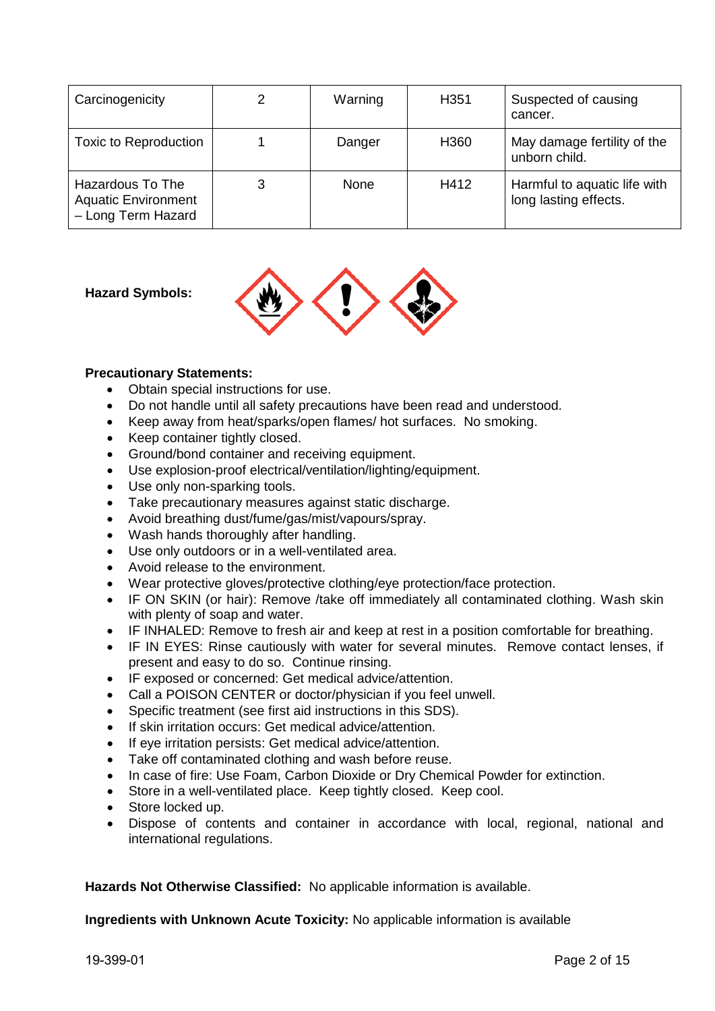| Carcinogenicity                                                      | 2 | Warning | H <sub>351</sub> | Suspected of causing<br>cancer.                       |
|----------------------------------------------------------------------|---|---------|------------------|-------------------------------------------------------|
| Toxic to Reproduction                                                |   | Danger  | H <sub>360</sub> | May damage fertility of the<br>unborn child.          |
| Hazardous To The<br><b>Aquatic Environment</b><br>- Long Term Hazard | 3 | None    | H412             | Harmful to aquatic life with<br>long lasting effects. |

## **Hazard Symbols:**



## **Precautionary Statements:**

- Obtain special instructions for use.
- Do not handle until all safety precautions have been read and understood.
- Keep away from heat/sparks/open flames/ hot surfaces. No smoking.
- Keep container tightly closed.
- Ground/bond container and receiving equipment.
- Use explosion-proof electrical/ventilation/lighting/equipment.
- Use only non-sparking tools.
- Take precautionary measures against static discharge.
- Avoid breathing dust/fume/gas/mist/vapours/spray.
- Wash hands thoroughly after handling.
- Use only outdoors or in a well-ventilated area.
- Avoid release to the environment.
- Wear protective gloves/protective clothing/eye protection/face protection.
- IF ON SKIN (or hair): Remove /take off immediately all contaminated clothing. Wash skin with plenty of soap and water.
- IF INHALED: Remove to fresh air and keep at rest in a position comfortable for breathing.
- IF IN EYES: Rinse cautiously with water for several minutes. Remove contact lenses, if present and easy to do so. Continue rinsing.
- IF exposed or concerned: Get medical advice/attention.
- Call a POISON CENTER or doctor/physician if you feel unwell.
- Specific treatment (see first aid instructions in this SDS).
- If skin irritation occurs: Get medical advice/attention.
- If eye irritation persists: Get medical advice/attention.
- Take off contaminated clothing and wash before reuse.
- In case of fire: Use Foam, Carbon Dioxide or Dry Chemical Powder for extinction.
- Store in a well-ventilated place. Keep tightly closed. Keep cool.
- Store locked up.
- Dispose of contents and container in accordance with local, regional, national and international regulations.

**Hazards Not Otherwise Classified:** No applicable information is available.

**Ingredients with Unknown Acute Toxicity:** No applicable information is available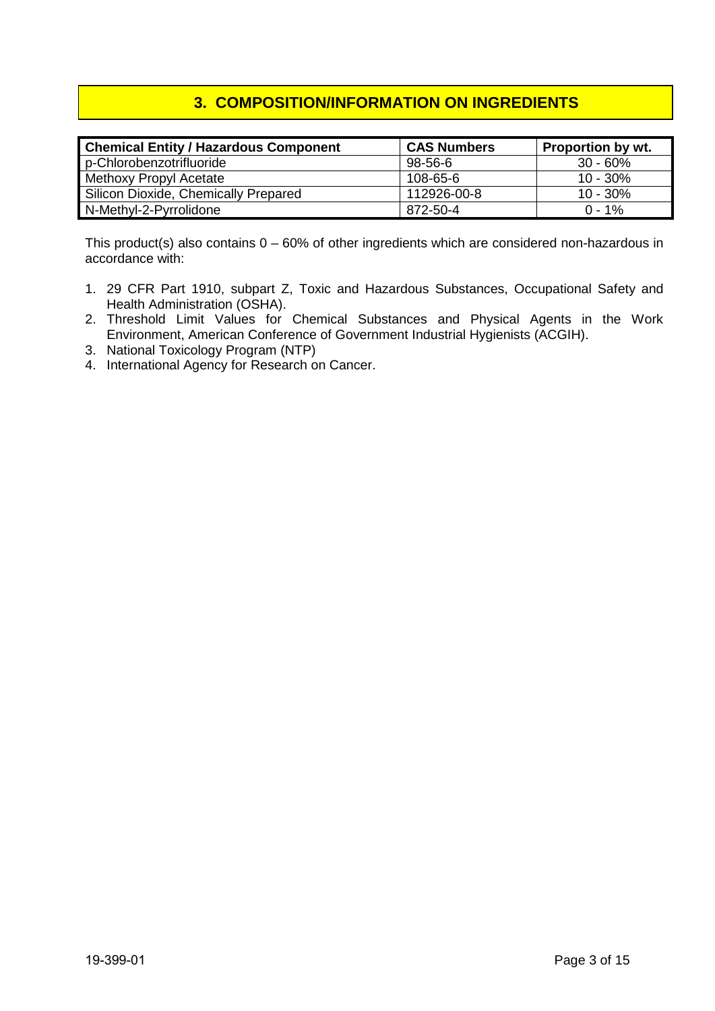# **3. COMPOSITION/INFORMATION ON INGREDIENTS**

| <b>Chemical Entity / Hazardous Component</b> | <b>CAS Numbers</b> | <b>Proportion by wt.</b> |
|----------------------------------------------|--------------------|--------------------------|
| p-Chlorobenzotrifluoride                     | 98-56-6            | $30 - 60%$               |
| Methoxy Propyl Acetate                       | 108-65-6           | $10 - 30\%$              |
| Silicon Dioxide, Chemically Prepared         | 112926-00-8        | $10 - 30\%$              |
| N-Methyl-2-Pyrrolidone                       | 872-50-4           | $0 - 1\%$                |

This product(s) also contains  $0 - 60\%$  of other ingredients which are considered non-hazardous in accordance with:

- 1. 29 CFR Part 1910, subpart Z, Toxic and Hazardous Substances, Occupational Safety and Health Administration (OSHA).
- 2. Threshold Limit Values for Chemical Substances and Physical Agents in the Work Environment, American Conference of Government Industrial Hygienists (ACGIH).
- 3. National Toxicology Program (NTP)
- 4. International Agency for Research on Cancer.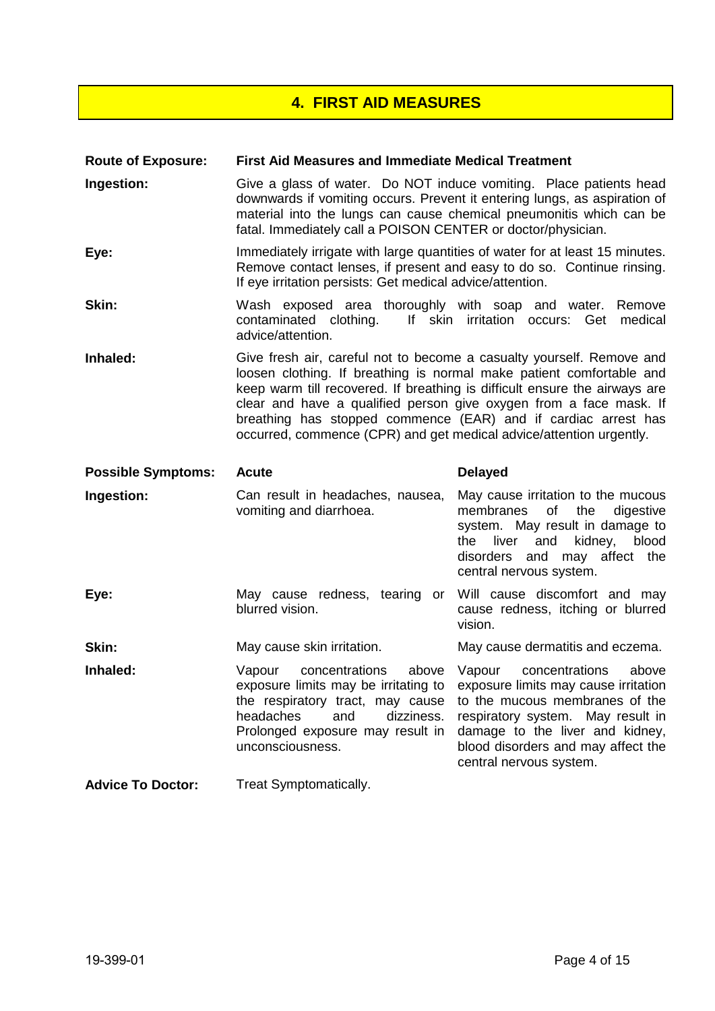# **4. FIRST AID MEASURES**

| <b>Route of Exposure:</b> | <b>First Aid Measures and Immediate Medical Treatment</b>                                                                                                                                                                                                                                                                                                                                                                                  |                                                                                                                                                                                                                                                      |  |  |
|---------------------------|--------------------------------------------------------------------------------------------------------------------------------------------------------------------------------------------------------------------------------------------------------------------------------------------------------------------------------------------------------------------------------------------------------------------------------------------|------------------------------------------------------------------------------------------------------------------------------------------------------------------------------------------------------------------------------------------------------|--|--|
| Ingestion:                | Give a glass of water. Do NOT induce vomiting. Place patients head<br>downwards if vomiting occurs. Prevent it entering lungs, as aspiration of<br>material into the lungs can cause chemical pneumonitis which can be<br>fatal. Immediately call a POISON CENTER or doctor/physician.                                                                                                                                                     |                                                                                                                                                                                                                                                      |  |  |
| Eye:                      | Immediately irrigate with large quantities of water for at least 15 minutes.<br>Remove contact lenses, if present and easy to do so. Continue rinsing.<br>If eye irritation persists: Get medical advice/attention.                                                                                                                                                                                                                        |                                                                                                                                                                                                                                                      |  |  |
| Skin:                     | Wash exposed area thoroughly with soap and water. Remove<br>contaminated clothing.<br>If skin irritation occurs: Get<br>medical<br>advice/attention.                                                                                                                                                                                                                                                                                       |                                                                                                                                                                                                                                                      |  |  |
| Inhaled:                  | Give fresh air, careful not to become a casualty yourself. Remove and<br>loosen clothing. If breathing is normal make patient comfortable and<br>keep warm till recovered. If breathing is difficult ensure the airways are<br>clear and have a qualified person give oxygen from a face mask. If<br>breathing has stopped commence (EAR) and if cardiac arrest has<br>occurred, commence (CPR) and get medical advice/attention urgently. |                                                                                                                                                                                                                                                      |  |  |
| <b>Possible Symptoms:</b> | <b>Acute</b>                                                                                                                                                                                                                                                                                                                                                                                                                               | <b>Delayed</b>                                                                                                                                                                                                                                       |  |  |
| Ingestion:                | Can result in headaches, nausea,                                                                                                                                                                                                                                                                                                                                                                                                           | May cause irritation to the mucous                                                                                                                                                                                                                   |  |  |
|                           | vomiting and diarrhoea.                                                                                                                                                                                                                                                                                                                                                                                                                    | membranes<br>of<br>the<br>digestive<br>system. May result in damage to<br>and<br>kidney,<br>blood<br>the<br>liver<br>disorders and may affect the<br>central nervous system.                                                                         |  |  |
| Eye:                      | May cause redness, tearing or<br>blurred vision.                                                                                                                                                                                                                                                                                                                                                                                           | Will cause discomfort and may<br>cause redness, itching or blurred<br>vision.                                                                                                                                                                        |  |  |
| Skin:                     | May cause skin irritation.                                                                                                                                                                                                                                                                                                                                                                                                                 | May cause dermatitis and eczema.                                                                                                                                                                                                                     |  |  |
| Inhaled:                  | concentrations<br>above<br>Vapour<br>exposure limits may be irritating to<br>the respiratory tract, may cause<br>headaches<br>and<br>dizziness.<br>Prolonged exposure may result in<br>unconsciousness.                                                                                                                                                                                                                                    | concentrations<br>Vapour<br>above<br>exposure limits may cause irritation<br>to the mucous membranes of the<br>respiratory system. May result in<br>damage to the liver and kidney,<br>blood disorders and may affect the<br>central nervous system. |  |  |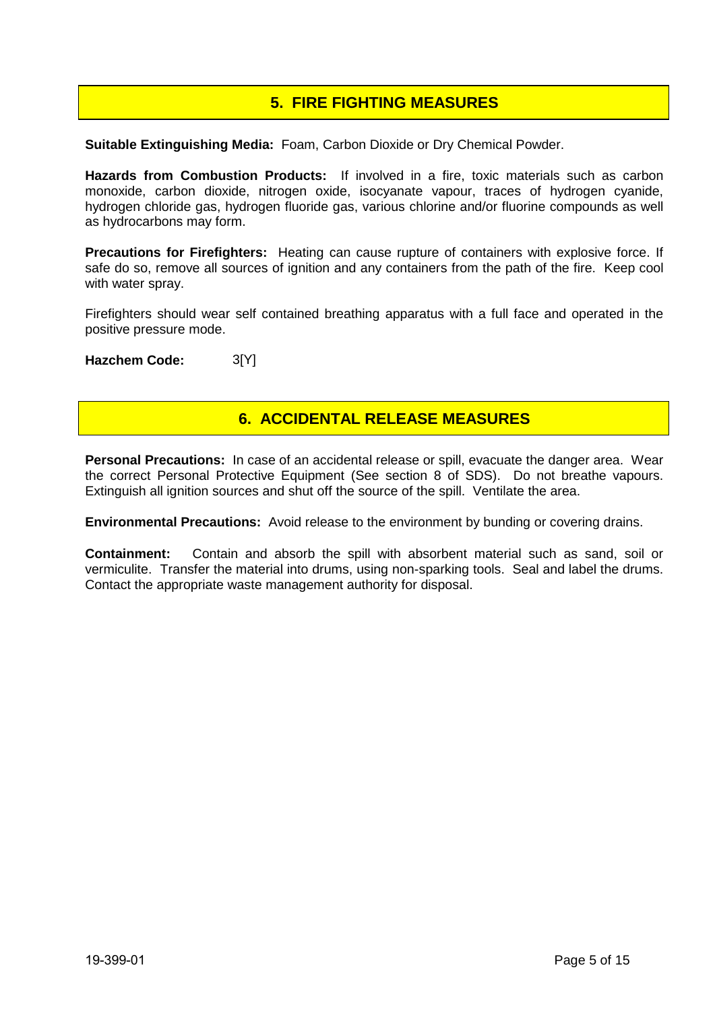# **5. FIRE FIGHTING MEASURES**

**Suitable Extinguishing Media:** Foam, Carbon Dioxide or Dry Chemical Powder.

**Hazards from Combustion Products:** If involved in a fire, toxic materials such as carbon monoxide, carbon dioxide, nitrogen oxide, isocyanate vapour, traces of hydrogen cyanide, hydrogen chloride gas, hydrogen fluoride gas, various chlorine and/or fluorine compounds as well as hydrocarbons may form.

**Precautions for Firefighters:** Heating can cause rupture of containers with explosive force. If safe do so, remove all sources of ignition and any containers from the path of the fire. Keep cool with water spray.

Firefighters should wear self contained breathing apparatus with a full face and operated in the positive pressure mode.

**Hazchem Code:** 3[Y]

## **6. ACCIDENTAL RELEASE MEASURES**

**Personal Precautions:** In case of an accidental release or spill, evacuate the danger area. Wear the correct Personal Protective Equipment (See section 8 of SDS). Do not breathe vapours. Extinguish all ignition sources and shut off the source of the spill. Ventilate the area.

**Environmental Precautions:** Avoid release to the environment by bunding or covering drains.

**Containment:** Contain and absorb the spill with absorbent material such as sand, soil or vermiculite. Transfer the material into drums, using non-sparking tools. Seal and label the drums. Contact the appropriate waste management authority for disposal.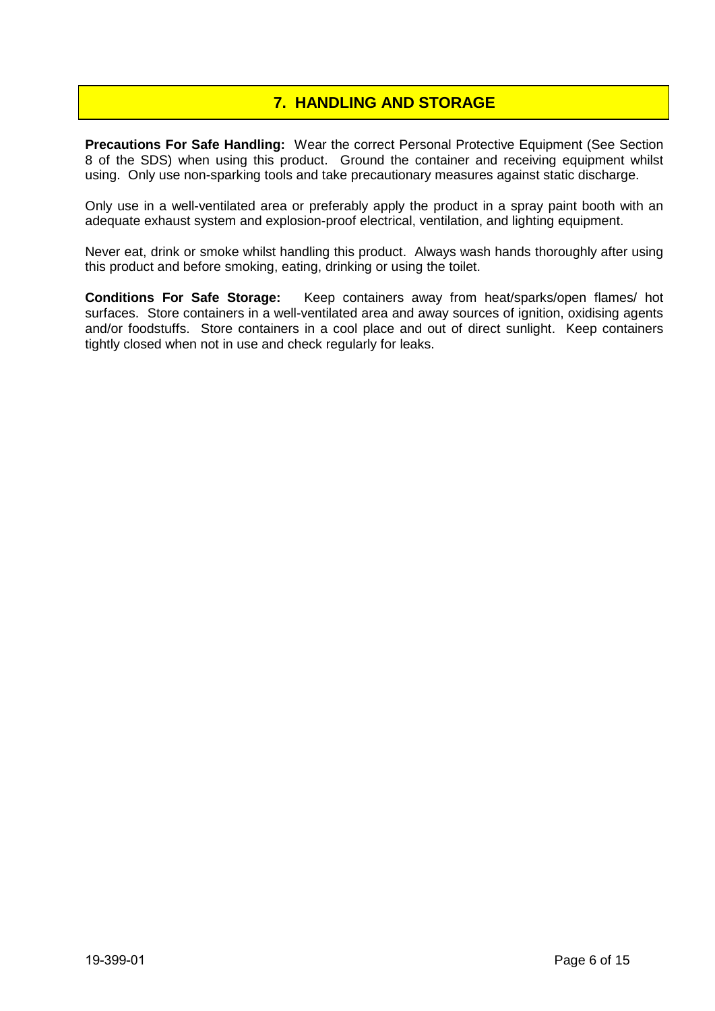# **7. HANDLING AND STORAGE**

**Precautions For Safe Handling:** Wear the correct Personal Protective Equipment (See Section 8 of the SDS) when using this product. Ground the container and receiving equipment whilst using. Only use non-sparking tools and take precautionary measures against static discharge.

Only use in a well-ventilated area or preferably apply the product in a spray paint booth with an adequate exhaust system and explosion-proof electrical, ventilation, and lighting equipment.

Never eat, drink or smoke whilst handling this product. Always wash hands thoroughly after using this product and before smoking, eating, drinking or using the toilet.

**Conditions For Safe Storage:** Keep containers away from heat/sparks/open flames/ hot surfaces. Store containers in a well-ventilated area and away sources of ignition, oxidising agents and/or foodstuffs. Store containers in a cool place and out of direct sunlight. Keep containers tightly closed when not in use and check regularly for leaks.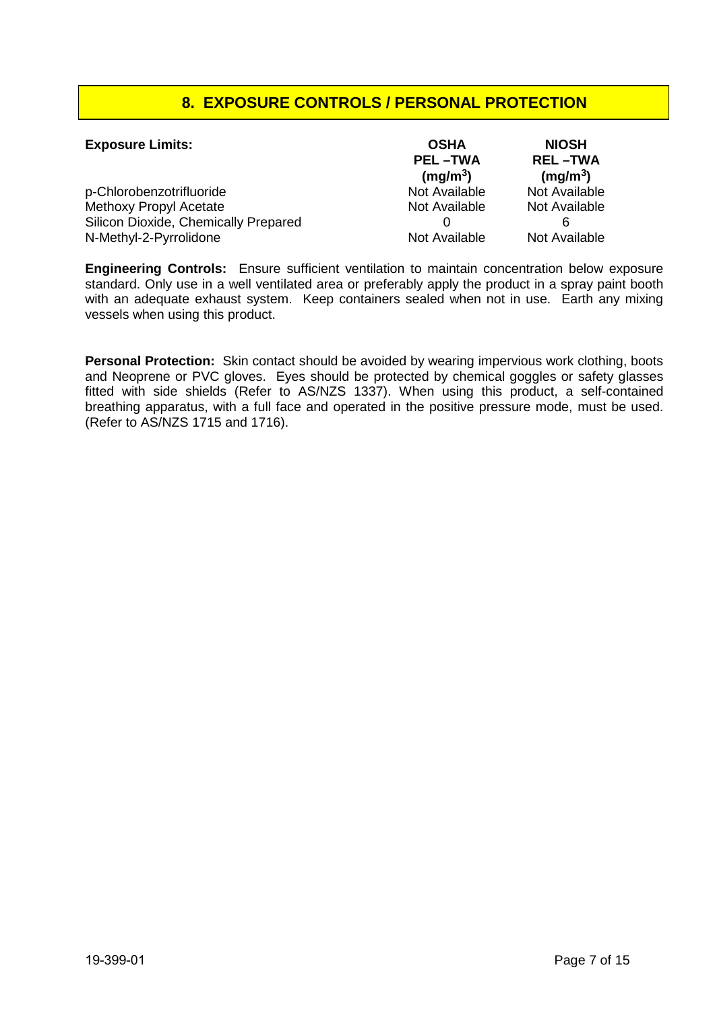# **8. EXPOSURE CONTROLS / PERSONAL PROTECTION**

| <b>Exposure Limits:</b>              | <b>OSHA</b><br><b>PEL-TWA</b><br>(mg/m <sup>3</sup> ) | <b>NIOSH</b><br><b>REL-TWA</b><br>(mg/m <sup>3</sup> ) |
|--------------------------------------|-------------------------------------------------------|--------------------------------------------------------|
| p-Chlorobenzotrifluoride             | Not Available                                         | Not Available                                          |
| <b>Methoxy Propyl Acetate</b>        | Not Available                                         | Not Available                                          |
| Silicon Dioxide, Chemically Prepared |                                                       |                                                        |
| N-Methyl-2-Pyrrolidone               | Not Available                                         | Not Available                                          |

**Engineering Controls:** Ensure sufficient ventilation to maintain concentration below exposure standard. Only use in a well ventilated area or preferably apply the product in a spray paint booth with an adequate exhaust system. Keep containers sealed when not in use. Earth any mixing vessels when using this product.

**Personal Protection:** Skin contact should be avoided by wearing impervious work clothing, boots and Neoprene or PVC gloves. Eyes should be protected by chemical goggles or safety glasses fitted with side shields (Refer to AS/NZS 1337). When using this product, a self-contained breathing apparatus, with a full face and operated in the positive pressure mode, must be used. (Refer to AS/NZS 1715 and 1716).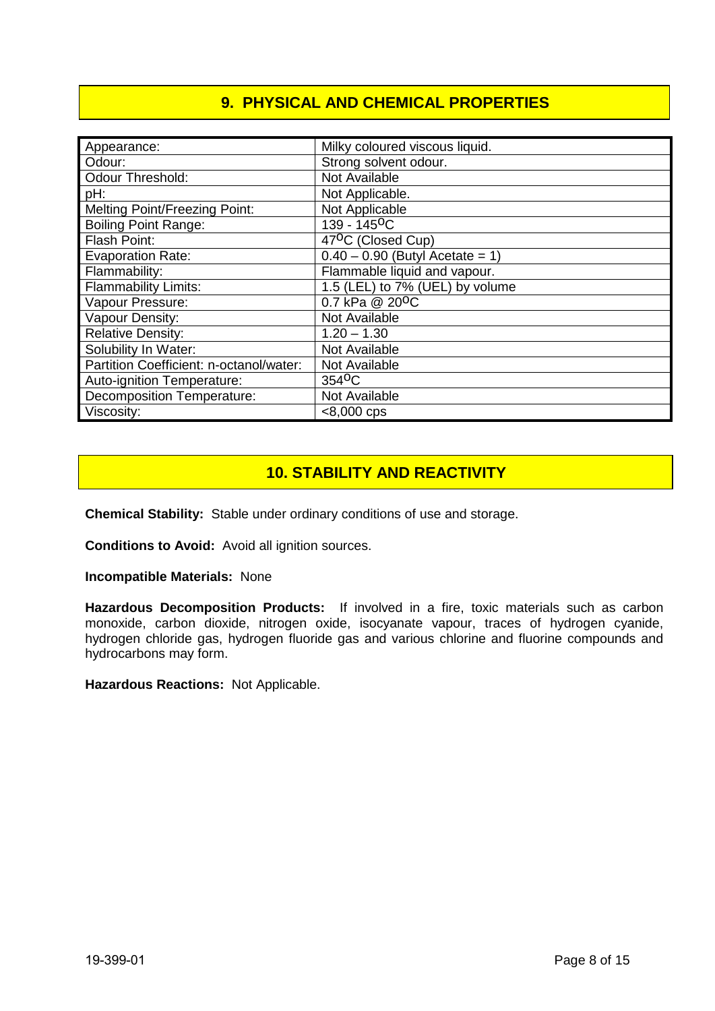# **9. PHYSICAL AND CHEMICAL PROPERTIES**

| Appearance:                             | Milky coloured viscous liquid.    |
|-----------------------------------------|-----------------------------------|
| Odour:                                  | Strong solvent odour.             |
| <b>Odour Threshold:</b>                 | Not Available                     |
| pH:                                     | Not Applicable.                   |
| <b>Melting Point/Freezing Point:</b>    | Not Applicable                    |
| <b>Boiling Point Range:</b>             | 139 - 145 <sup>o</sup> C          |
| Flash Point:                            | 47 <sup>o</sup> C (Closed Cup)    |
| <b>Evaporation Rate:</b>                | $0.40 - 0.90$ (Butyl Acetate = 1) |
| Flammability:                           | Flammable liquid and vapour.      |
| <b>Flammability Limits:</b>             | 1.5 (LEL) to 7% (UEL) by volume   |
| Vapour Pressure:                        | 0.7 kPa @ 20 <sup>o</sup> C       |
| Vapour Density:                         | Not Available                     |
| <b>Relative Density:</b>                | $1.20 - 1.30$                     |
| Solubility In Water:                    | Not Available                     |
| Partition Coefficient: n-octanol/water: | Not Available                     |
| Auto-ignition Temperature:              | 354 <sup>o</sup> C                |
| <b>Decomposition Temperature:</b>       | Not Available                     |
| Viscosity:                              | $< 8,000$ cps                     |

# **10. STABILITY AND REACTIVITY**

**Chemical Stability:** Stable under ordinary conditions of use and storage.

**Conditions to Avoid:** Avoid all ignition sources.

**Incompatible Materials:** None

**Hazardous Decomposition Products:** If involved in a fire, toxic materials such as carbon monoxide, carbon dioxide, nitrogen oxide, isocyanate vapour, traces of hydrogen cyanide, hydrogen chloride gas, hydrogen fluoride gas and various chlorine and fluorine compounds and hydrocarbons may form.

**Hazardous Reactions:** Not Applicable.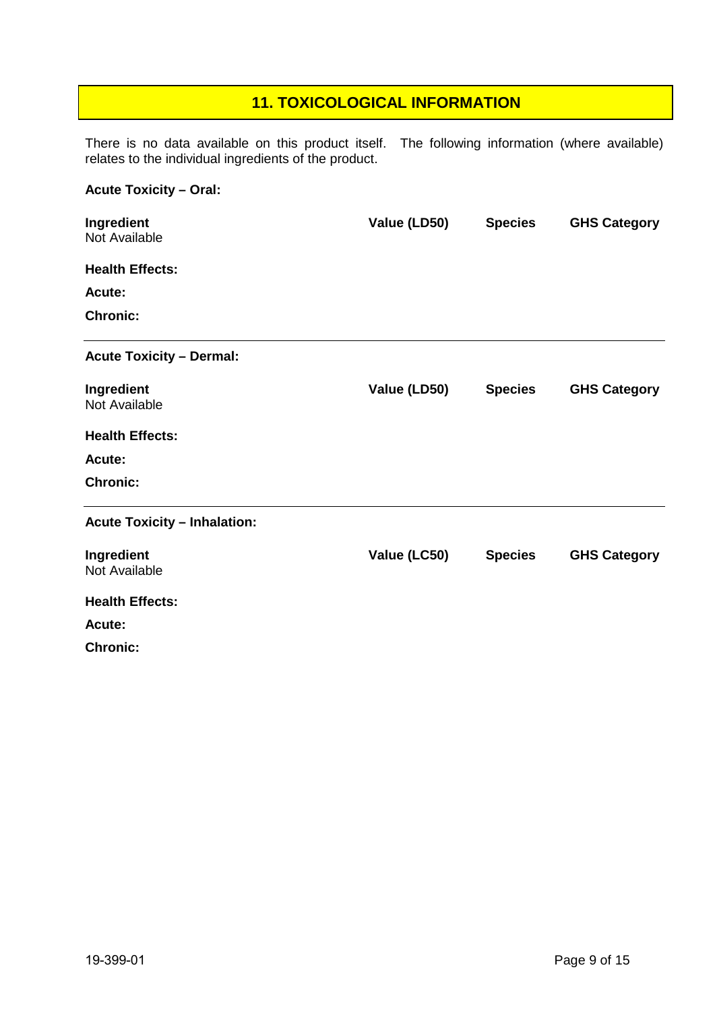# **11. TOXICOLOGICAL INFORMATION**

There is no data available on this product itself. The following information (where available) relates to the individual ingredients of the product.

## **Acute Toxicity – Oral:**

| Ingredient<br>Not Available         | Value (LD50) | <b>Species</b> | <b>GHS Category</b> |
|-------------------------------------|--------------|----------------|---------------------|
| <b>Health Effects:</b>              |              |                |                     |
| Acute:                              |              |                |                     |
| <b>Chronic:</b>                     |              |                |                     |
| <b>Acute Toxicity - Dermal:</b>     |              |                |                     |
| Ingredient                          | Value (LD50) | <b>Species</b> | <b>GHS Category</b> |
| Not Available                       |              |                |                     |
| <b>Health Effects:</b>              |              |                |                     |
| Acute:                              |              |                |                     |
| <b>Chronic:</b>                     |              |                |                     |
| <b>Acute Toxicity - Inhalation:</b> |              |                |                     |
| Ingredient                          | Value (LC50) | <b>Species</b> | <b>GHS Category</b> |
| Not Available                       |              |                |                     |
| <b>Health Effects:</b>              |              |                |                     |
| Acute:                              |              |                |                     |
| <b>Chronic:</b>                     |              |                |                     |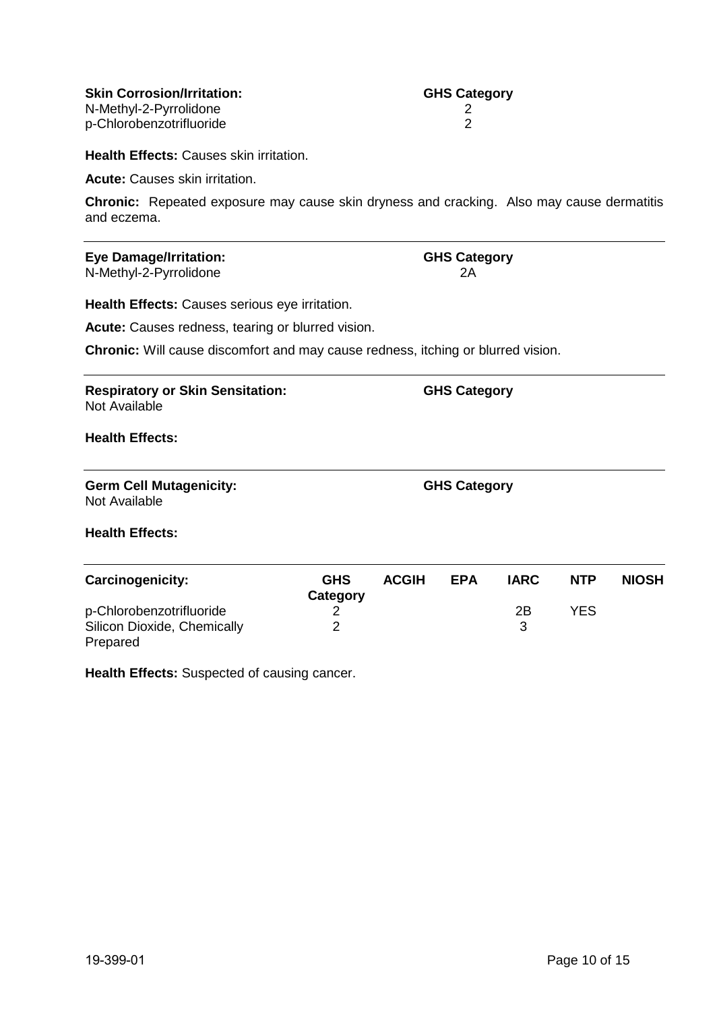**Skin Corrosion/Irritation: GHS Category** N-Methyl-2-Pyrrolidone 2<br>
p-Chlorobenzotrifluoride 2 p-Chlorobenzotrifluoride 2

**Health Effects:** Causes skin irritation.

**Acute:** Causes skin irritation.

**Chronic:** Repeated exposure may cause skin dryness and cracking. Also may cause dermatitis and eczema.

# **Eye Damage/Irritation: GHS Category**<br>N-Methyl-2-Pyrrolidone **GHS** Category

N-Methyl-2-Pyrrolidone

**Health Effects:** Causes serious eye irritation.

**Acute:** Causes redness, tearing or blurred vision.

**Chronic:** Will cause discomfort and may cause redness, itching or blurred vision.

**Respiratory or Skin Sensitation: GHS Category** Not Available

**Health Effects:**

**Germ Cell Mutagenicity: GHS Category** Not Available

**Health Effects:**

| Carcinogenicity:            | <b>GHS</b><br>Category | <b>ACGIH</b> | <b>EPA</b> | IARC | <b>NTP</b> | <b>NIOSH</b> |
|-----------------------------|------------------------|--------------|------------|------|------------|--------------|
| p-Chlorobenzotrifluoride    |                        |              |            | 2Β   | YFS        |              |
| Silicon Dioxide, Chemically |                        |              |            |      |            |              |
| Prepared                    |                        |              |            |      |            |              |

**Health Effects:** Suspected of causing cancer.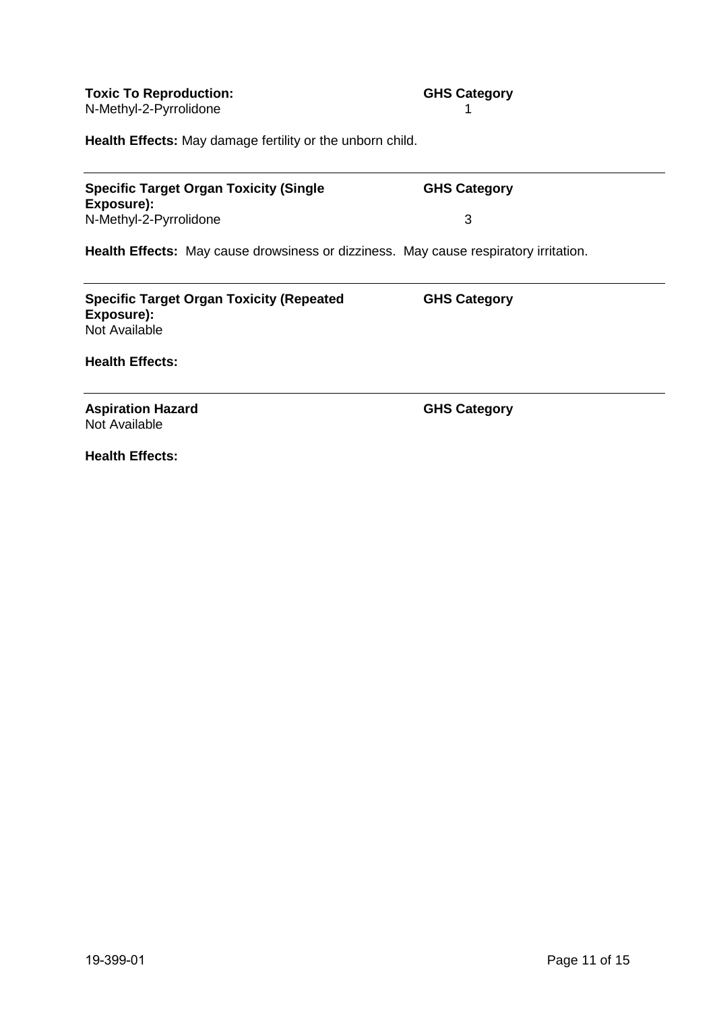**GHS Category**

**Health Effects:** May damage fertility or the unborn child.

**Specific Target Organ Toxicity (Single Exposure):** N-Methyl-2-Pyrrolidone 3

**Health Effects:** May cause drowsiness or dizziness. May cause respiratory irritation.

| <b>Specific Target Organ Toxicity (Repeated</b> | <b>GHS Category</b> |
|-------------------------------------------------|---------------------|
| Exposure):                                      |                     |
| Not Available                                   |                     |

**Health Effects:**

**Aspiration Hazard GHS Category** Not Available

**Health Effects:**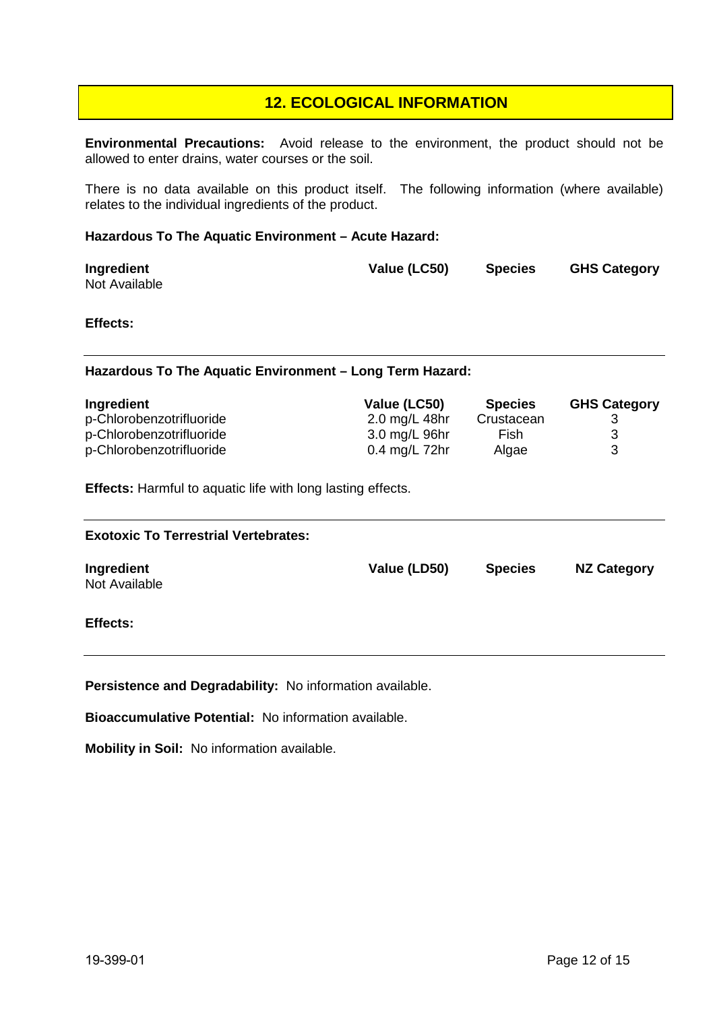## **12. ECOLOGICAL INFORMATION**

**Environmental Precautions:** Avoid release to the environment, the product should not be allowed to enter drains, water courses or the soil.

There is no data available on this product itself. The following information (where available) relates to the individual ingredients of the product.

#### **Hazardous To The Aquatic Environment – Acute Hazard:**

| Ingredient    | Value (LC50) | <b>Species</b> | <b>GHS Category</b> |
|---------------|--------------|----------------|---------------------|
| Not Available |              |                |                     |

#### **Effects:**

#### **Hazardous To The Aquatic Environment – Long Term Hazard:**

| Ingredient               | Value (LC50)    | <b>Species</b> | <b>GHS Category</b> |
|--------------------------|-----------------|----------------|---------------------|
| p-Chlorobenzotrifluoride | 2.0 mg/L 48hr   | Crustacean     |                     |
| p-Chlorobenzotrifluoride | 3.0 mg/L 96hr   | Fish           |                     |
| p-Chlorobenzotrifluoride | $0.4$ mg/L 72hr | Algae          |                     |

**Effects:** Harmful to aquatic life with long lasting effects.

| <b>Exotoxic To Terrestrial Vertebrates:</b> |              |                |                    |  |
|---------------------------------------------|--------------|----------------|--------------------|--|
| Ingredient<br>Not Available                 | Value (LD50) | <b>Species</b> | <b>NZ Category</b> |  |
| <b>Effects:</b>                             |              |                |                    |  |

**Persistence and Degradability:** No information available.

**Bioaccumulative Potential:** No information available.

**Mobility in Soil:** No information available.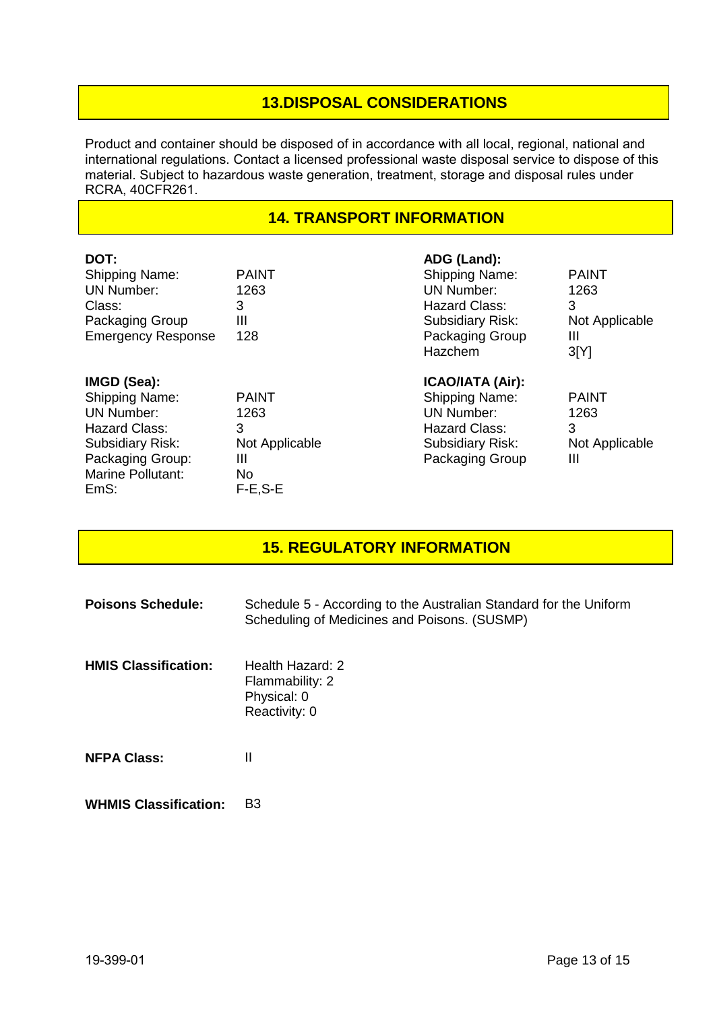# **13.DISPOSAL CONSIDERATIONS**

Product and container should be disposed of in accordance with all local, regional, national and international regulations. Contact a licensed professional waste disposal service to dispose of this material. Subject to hazardous waste generation, treatment, storage and disposal rules under RCRA, 40CFR261.

## **14. TRANSPORT INFORMATION**

| DOT:<br><b>Shipping Name:</b><br><b>UN Number:</b><br>Class:<br>Packaging Group<br><b>Emergency Response</b>                                                         | <b>PAINT</b><br>1263<br>3<br>Ш<br>128                               | ADG (Land):<br><b>Shipping Name:</b><br><b>UN Number:</b><br>Hazard Class:<br><b>Subsidiary Risk:</b><br>Packaging Group<br>Hazchem  | <b>PAINT</b><br>1263<br>3<br>Not Applicable<br>Ш<br>3[Y] |
|----------------------------------------------------------------------------------------------------------------------------------------------------------------------|---------------------------------------------------------------------|--------------------------------------------------------------------------------------------------------------------------------------|----------------------------------------------------------|
| IMGD (Sea):<br><b>Shipping Name:</b><br><b>UN Number:</b><br><b>Hazard Class:</b><br><b>Subsidiary Risk:</b><br>Packaging Group:<br><b>Marine Pollutant:</b><br>EmS: | <b>PAINT</b><br>1263<br>3<br>Not Applicable<br>Ш<br>No<br>$F-E.S-E$ | <b>ICAO/IATA (Air):</b><br><b>Shipping Name:</b><br><b>UN Number:</b><br>Hazard Class:<br><b>Subsidiary Risk:</b><br>Packaging Group | <b>PAINT</b><br>1263<br>3<br>Not Applicable<br>Ш         |

# **15. REGULATORY INFORMATION**

| <b>Poisons Schedule:</b>     | Schedule 5 - According to the Australian Standard for the Uniform<br>Scheduling of Medicines and Poisons. (SUSMP) |
|------------------------------|-------------------------------------------------------------------------------------------------------------------|
| <b>HMIS Classification:</b>  | Health Hazard: 2<br>Flammability: 2<br>Physical: 0<br>Reactivity: 0                                               |
| <b>NFPA Class:</b>           | Ш                                                                                                                 |
| <b>WHMIS Classification:</b> | B3                                                                                                                |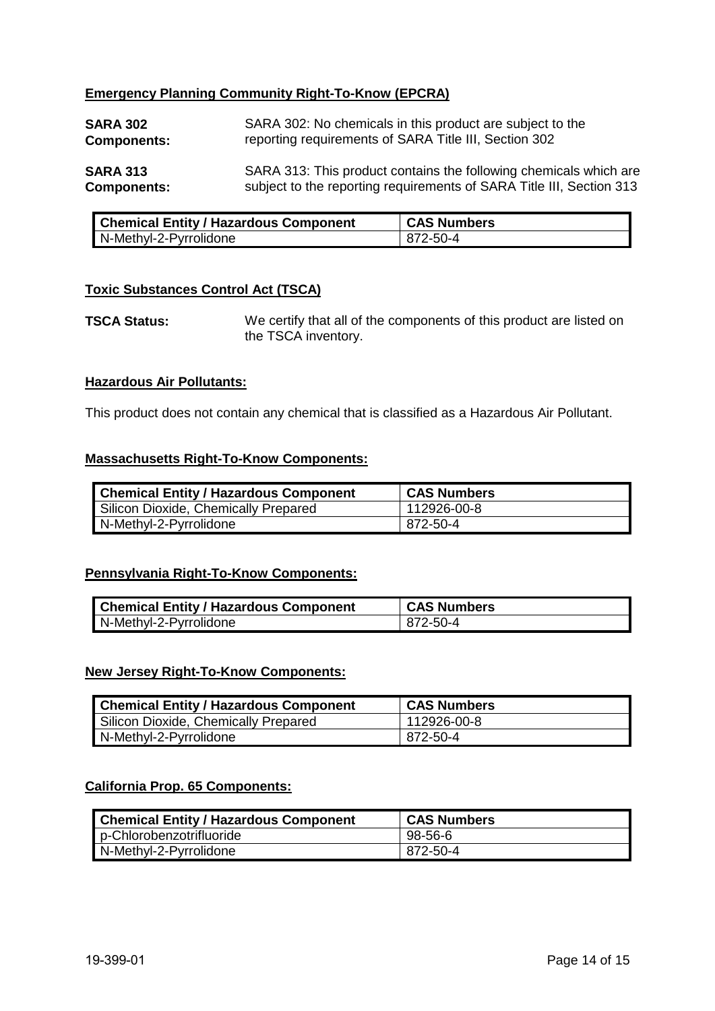## **Emergency Planning Community Right-To-Know (EPCRA)**

| <b>SARA 302</b>    | SARA 302: No chemicals in this product are subject to the            |
|--------------------|----------------------------------------------------------------------|
| <b>Components:</b> | reporting requirements of SARA Title III, Section 302                |
| <b>SARA 313</b>    | SARA 313: This product contains the following chemicals which are    |
| <b>Components:</b> | subject to the reporting requirements of SARA Title III, Section 313 |

| <b>Chemical Entity / Hazardous Component</b> | <b>CAS Numbers</b> |
|----------------------------------------------|--------------------|
| N-Methyl-2-Pyrrolidone                       | 872-50-4           |

## **Toxic Substances Control Act (TSCA)**

**TSCA Status:** We certify that all of the components of this product are listed on the TSCA inventory.

### **Hazardous Air Pollutants:**

This product does not contain any chemical that is classified as a Hazardous Air Pollutant.

#### **Massachusetts Right-To-Know Components:**

| <b>Chemical Entity / Hazardous Component</b> | <b>CAS Numbers</b> |
|----------------------------------------------|--------------------|
| Silicon Dioxide, Chemically Prepared         | 112926-00-8        |
| N-Methyl-2-Pyrrolidone                       | 872-50-4           |

#### **Pennsylvania Right-To-Know Components:**

| <b>Chemical Entity / Hazardous Component</b> | <b>CAS Numbers</b> |
|----------------------------------------------|--------------------|
| N-Methyl-2-Pyrrolidone                       | 872-50-4           |

#### **New Jersey Right-To-Know Components:**

| <b>Chemical Entity / Hazardous Component</b> | <b>CAS Numbers</b> |
|----------------------------------------------|--------------------|
| Silicon Dioxide, Chemically Prepared         | ∣ 112926-00-8      |
| N-Methyl-2-Pyrrolidone                       | 872-50-4           |

## **California Prop. 65 Components:**

| <b>Chemical Entity / Hazardous Component</b> | <b>CAS Numbers</b> |
|----------------------------------------------|--------------------|
| p-Chlorobenzotrifluoride                     | 98-56-6            |
| N-Methyl-2-Pyrrolidone                       | 872-50-4           |